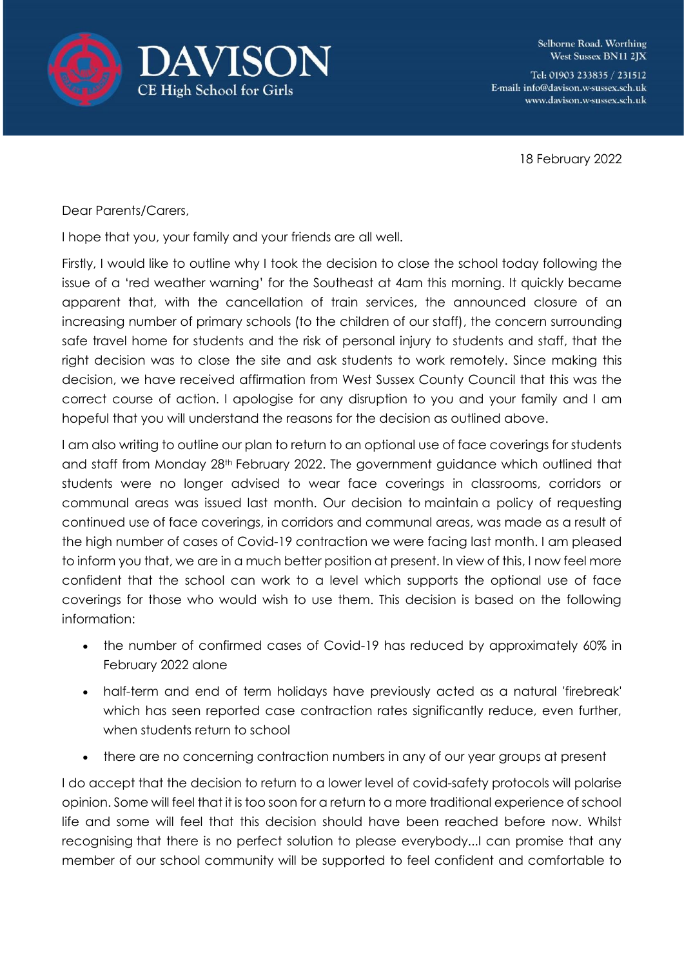



Selborne Road. Worthing West Sussex BN11 2JX

Tel: 01903 233835 / 231512 E-mail: info@davison.w-sussex.sch.uk www.davison.w-sussex.sch.uk

18 February 2022

Dear Parents/Carers,

I hope that you, your family and your friends are all well.

Firstly, I would like to outline why I took the decision to close the school today following the issue of a 'red weather warning' for the Southeast at 4am this morning. It quickly became apparent that, with the cancellation of train services, the announced closure of an increasing number of primary schools (to the children of our staff), the concern surrounding safe travel home for students and the risk of personal injury to students and staff, that the right decision was to close the site and ask students to work remotely. Since making this decision, we have received affirmation from West Sussex County Council that this was the correct course of action. I apologise for any disruption to you and your family and I am hopeful that you will understand the reasons for the decision as outlined above.

I am also writing to outline our plan to return to an optional use of face coverings for students and staff from Monday 28<sup>th</sup> February 2022. The government guidance which outlined that students were no longer advised to wear face coverings in classrooms, corridors or communal areas was issued last month. Our decision to maintain a policy of requesting continued use of face coverings, in corridors and communal areas, was made as a result of the high number of cases of Covid-19 contraction we were facing last month. I am pleased to inform you that, we are in a much better position at present. In view of this, I now feel more confident that the school can work to a level which supports the optional use of face coverings for those who would wish to use them. This decision is based on the following information:

- the number of confirmed cases of Covid-19 has reduced by approximately 60% in February 2022 alone
- half-term and end of term holidays have previously acted as a natural 'firebreak' which has seen reported case contraction rates significantly reduce, even further, when students return to school
- there are no concerning contraction numbers in any of our year groups at present

I do accept that the decision to return to a lower level of covid-safety protocols will polarise opinion. Some will feel that it is too soon for a return to a more traditional experience of school life and some will feel that this decision should have been reached before now. Whilst recognising that there is no perfect solution to please everybody...I can promise that any member of our school community will be supported to feel confident and comfortable to